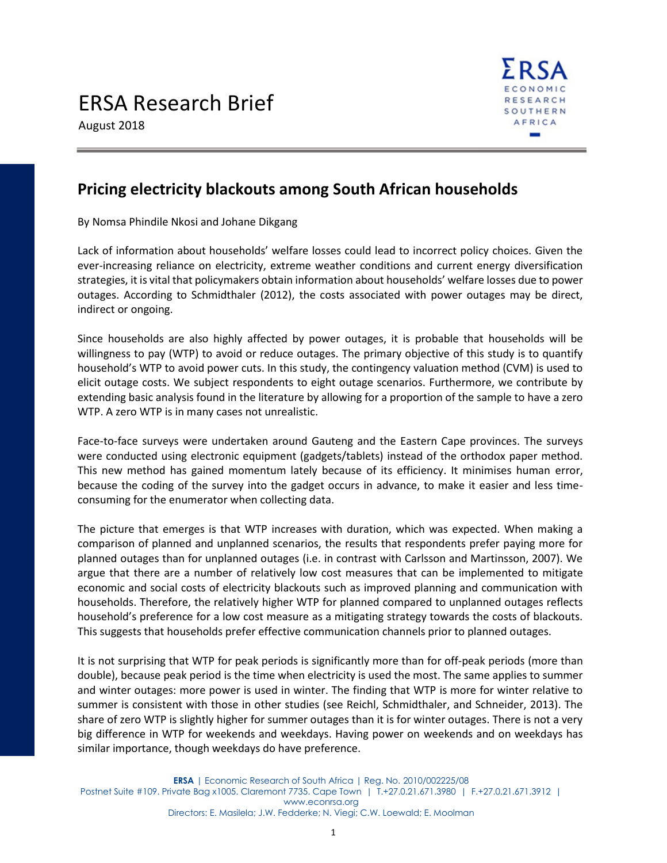

August 2018

## **Pricing electricity blackouts among South African households**

By Nomsa Phindile Nkosi and Johane Dikgang

Lack of information about households' welfare losses could lead to incorrect policy choices. Given the ever-increasing reliance on electricity, extreme weather conditions and current energy diversification strategies, it is vital that policymakers obtain information about households' welfare losses due to power outages. According to Schmidthaler (2012), the costs associated with power outages may be direct, indirect or ongoing.

Since households are also highly affected by power outages, it is probable that households will be willingness to pay (WTP) to avoid or reduce outages. The primary objective of this study is to quantify household's WTP to avoid power cuts. In this study, the contingency valuation method (CVM) is used to elicit outage costs. We subject respondents to eight outage scenarios. Furthermore, we contribute by extending basic analysis found in the literature by allowing for a proportion of the sample to have a zero WTP. A zero WTP is in many cases not unrealistic.

Face-to-face surveys were undertaken around Gauteng and the Eastern Cape provinces. The surveys were conducted using electronic equipment (gadgets/tablets) instead of the orthodox paper method. This new method has gained momentum lately because of its efficiency. It minimises human error, because the coding of the survey into the gadget occurs in advance, to make it easier and less timeconsuming for the enumerator when collecting data.

The picture that emerges is that WTP increases with duration, which was expected. When making a comparison of planned and unplanned scenarios, the results that respondents prefer paying more for planned outages than for unplanned outages (i.e. in contrast with Carlsson and Martinsson, 2007). We argue that there are a number of relatively low cost measures that can be implemented to mitigate economic and social costs of electricity blackouts such as improved planning and communication with households. Therefore, the relatively higher WTP for planned compared to unplanned outages reflects household's preference for a low cost measure as a mitigating strategy towards the costs of blackouts. This suggests that households prefer effective communication channels prior to planned outages.

It is not surprising that WTP for peak periods is significantly more than for off-peak periods (more than double), because peak period is the time when electricity is used the most. The same applies to summer and winter outages: more power is used in winter. The finding that WTP is more for winter relative to summer is consistent with those in other studies (see Reichl, Schmidthaler, and Schneider, 2013). The share of zero WTP is slightly higher for summer outages than it is for winter outages. There is not a very big difference in WTP for weekends and weekdays. Having power on weekends and on weekdays has similar importance, though weekdays do have preference.